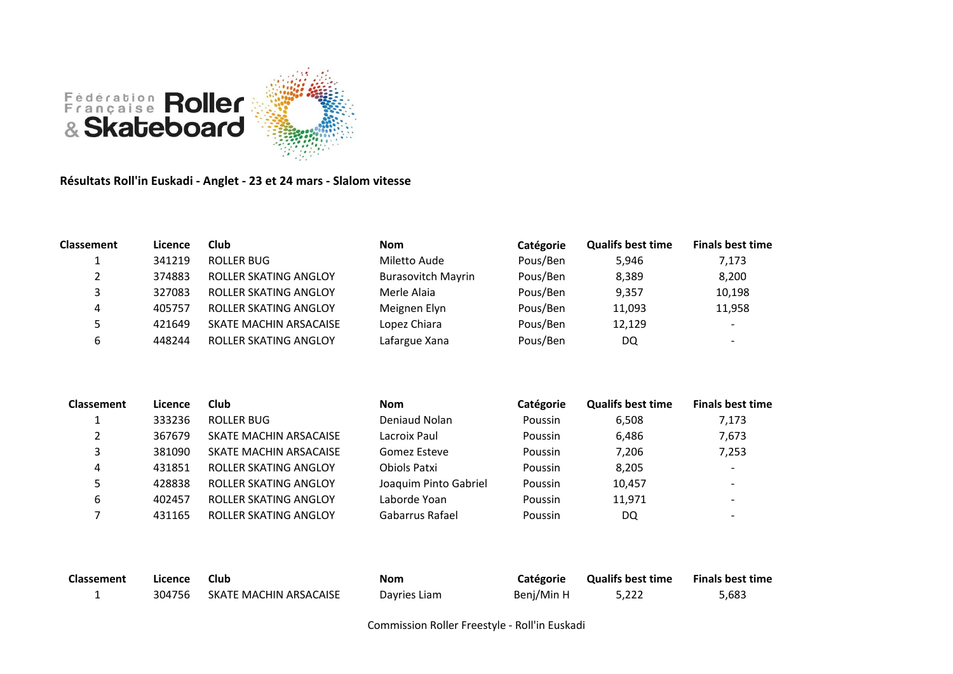

**Résultats Roll'in Euskadi - Anglet - 23 et 24 mars - Slalom vitesse**

| <b>Classement</b> | Licence | Club                         | <b>Nom</b>                | Catégorie | <b>Qualifs best time</b> | <b>Finals best time</b>                                                                                                                                                                                                                                                                                                                                       |
|-------------------|---------|------------------------------|---------------------------|-----------|--------------------------|---------------------------------------------------------------------------------------------------------------------------------------------------------------------------------------------------------------------------------------------------------------------------------------------------------------------------------------------------------------|
|                   | 341219  | ROLLER BUG                   | Miletto Aude              | Pous/Ben  | 5,946                    | 7,173                                                                                                                                                                                                                                                                                                                                                         |
|                   | 374883  | <b>ROLLER SKATING ANGLOY</b> | <b>Burasovitch Mayrin</b> | Pous/Ben  | 8,389                    | 8,200                                                                                                                                                                                                                                                                                                                                                         |
|                   | 327083  | <b>ROLLER SKATING ANGLOY</b> | Merle Alaia               | Pous/Ben  | 9,357                    | 10,198                                                                                                                                                                                                                                                                                                                                                        |
| 4                 | 405757  | ROLLER SKATING ANGLOY        | Meignen Elyn              | Pous/Ben  | 11,093                   | 11,958                                                                                                                                                                                                                                                                                                                                                        |
|                   | 421649  | SKATE MACHIN ARSACAISE       | Lopez Chiara              | Pous/Ben  | 12,129                   | $\overline{\phantom{0}}$                                                                                                                                                                                                                                                                                                                                      |
| ь                 | 448244  | ROLLER SKATING ANGLOY        | Lafargue Xana             | Pous/Ben  | DQ                       | $\hskip1.6pt\hskip1.6pt\hskip1.6pt\hskip1.6pt\hskip1.6pt\hskip1.6pt\hskip1.6pt\hskip1.6pt\hskip1.6pt\hskip1.6pt\hskip1.6pt\hskip1.6pt\hskip1.6pt\hskip1.6pt\hskip1.6pt\hskip1.6pt\hskip1.6pt\hskip1.6pt\hskip1.6pt\hskip1.6pt\hskip1.6pt\hskip1.6pt\hskip1.6pt\hskip1.6pt\hskip1.6pt\hskip1.6pt\hskip1.6pt\hskip1.6pt\hskip1.6pt\hskip1.6pt\hskip1.6pt\hskip$ |

| <b>Classement</b> | Licence | Club                   | <b>Nom</b>            | Catégorie | <b>Qualifs best time</b> | <b>Finals best time</b>  |
|-------------------|---------|------------------------|-----------------------|-----------|--------------------------|--------------------------|
|                   | 333236  | ROLLER BUG             | Deniaud Nolan         | Poussin   | 6.508                    | 7,173                    |
|                   | 367679  | SKATE MACHIN ARSACAISE | Lacroix Paul          | Poussin   | 6,486                    | 7,673                    |
|                   | 381090  | SKATE MACHIN ARSACAISE | Gomez Esteve          | Poussin   | 7,206                    | 7,253                    |
| 4                 | 431851  | ROLLER SKATING ANGLOY  | Obiols Patxi          | Poussin   | 8,205                    | $\overline{\phantom{0}}$ |
|                   | 428838  | ROLLER SKATING ANGLOY  | Joaquim Pinto Gabriel | Poussin   | 10,457                   | $\overline{\phantom{0}}$ |
| 6                 | 402457  | ROLLER SKATING ANGLOY  | Laborde Yoan          | Poussin   | 11,971                   | $\overline{\phantom{0}}$ |
|                   | 431165  | ROLLER SKATING ANGLOY  | Gabarrus Rafael       | Poussin   | DQ                       |                          |

| <b>Classement</b> | Licence | Club                   | <b>Nom</b>   | <b>Catégorie</b> | <b>Qualifs best time</b> | <b>Finals best time</b> |
|-------------------|---------|------------------------|--------------|------------------|--------------------------|-------------------------|
|                   | 304756  | SKATE MACHIN ARSACAISE | Dayries Liam | Benj/Min H       | 5.222                    | 5,683                   |

Commission Roller Freestyle - Roll'in Euskadi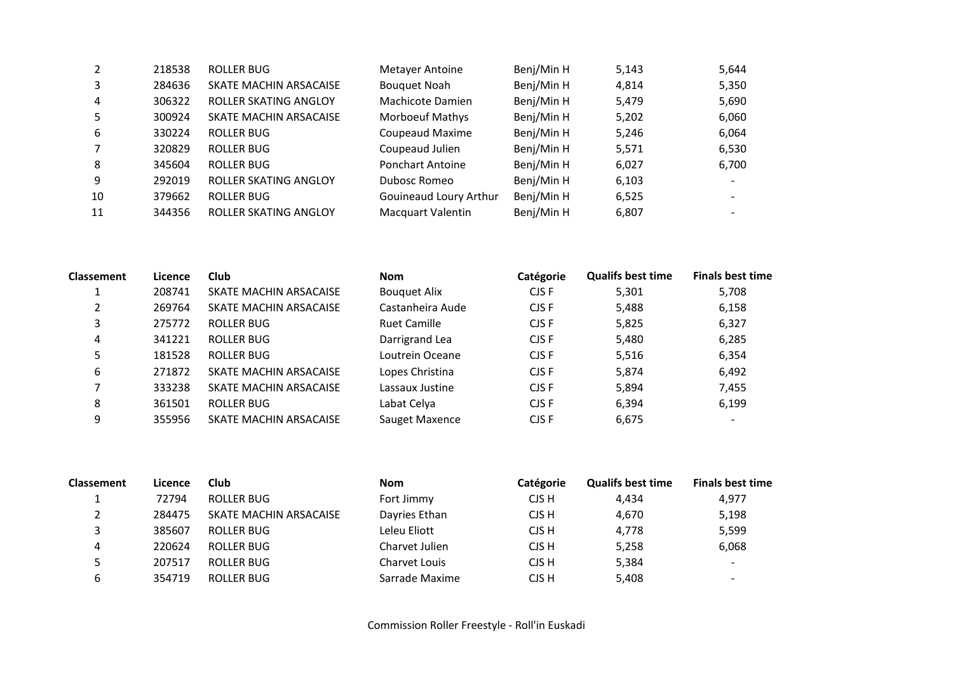| 2              | 218538 | <b>ROLLER BUG</b>      | Metayer Antoine          | Benj/Min H | 5,143 | 5,644 |
|----------------|--------|------------------------|--------------------------|------------|-------|-------|
| 3              | 284636 | SKATE MACHIN ARSACAISE | <b>Bouquet Noah</b>      | Benj/Min H | 4,814 | 5,350 |
| $\overline{4}$ | 306322 | ROLLER SKATING ANGLOY  | Machicote Damien         | Benj/Min H | 5,479 | 5,690 |
| 5              | 300924 | SKATE MACHIN ARSACAISE | <b>Morboeuf Mathys</b>   | Benj/Min H | 5,202 | 6,060 |
| 6              | 330224 | <b>ROLLER BUG</b>      | <b>Coupeaud Maxime</b>   | Benj/Min H | 5,246 | 6,064 |
| 7              | 320829 | ROLLER BUG             | Coupeaud Julien          | Benj/Min H | 5,571 | 6,530 |
| 8              | 345604 | <b>ROLLER BUG</b>      | <b>Ponchart Antoine</b>  | Benj/Min H | 6,027 | 6,700 |
| 9              | 292019 | ROLLER SKATING ANGLOY  | Dubosc Romeo             | Benj/Min H | 6,103 |       |
| 10             | 379662 | <b>ROLLER BUG</b>      | Gouineaud Loury Arthur   | Benj/Min H | 6,525 |       |
| 11             | 344356 | ROLLER SKATING ANGLOY  | <b>Macquart Valentin</b> | Benj/Min H | 6,807 |       |

| <b>Classement</b> | Licence | Club                   | <b>Nom</b>          | Catégorie | <b>Qualifs best time</b> | <b>Finals best time</b>  |
|-------------------|---------|------------------------|---------------------|-----------|--------------------------|--------------------------|
|                   | 208741  | SKATE MACHIN ARSACAISE | <b>Bouquet Alix</b> | CJS F     | 5,301                    | 5,708                    |
| 2                 | 269764  | SKATE MACHIN ARSACAISE | Castanheira Aude    | CJS F     | 5,488                    | 6,158                    |
| 3                 | 275772  | ROLLER BUG             | <b>Ruet Camille</b> | CJS F     | 5,825                    | 6,327                    |
| 4                 | 341221  | ROLLER BUG             | Darrigrand Lea      | CJS F     | 5,480                    | 6,285                    |
| 5                 | 181528  | <b>ROLLER BUG</b>      | Loutrein Oceane     | CJS F     | 5,516                    | 6,354                    |
| 6                 | 271872  | SKATE MACHIN ARSACAISE | Lopes Christina     | CJS F     | 5.874                    | 6,492                    |
|                   | 333238  | SKATE MACHIN ARSACAISE | Lassaux Justine     | CJS F     | 5,894                    | 7,455                    |
| 8                 | 361501  | ROLLER BUG             | Labat Celya         | CJS F     | 6,394                    | 6.199                    |
| 9                 | 355956  | SKATE MACHIN ARSACAISE | Sauget Maxence      | CJS F     | 6,675                    | $\overline{\phantom{a}}$ |

| <b>Classement</b> | Licence | Club                   | <b>Nom</b>     | <b>Catégorie</b> | <b>Qualifs best time</b> | <b>Finals best time</b>  |
|-------------------|---------|------------------------|----------------|------------------|--------------------------|--------------------------|
|                   | 72794   | ROLLER BUG             | Fort Jimmy     | CJS H            | 4.434                    | 4,977                    |
|                   | 284475  | SKATE MACHIN ARSACAISE | Dayries Ethan  | CJS H            | 4,670                    | 5,198                    |
|                   | 385607  | ROLLER BUG             | Leleu Eliott   | CJS H            | 4.778                    | 5,599                    |
| 4                 | 220624  | ROLLER BUG             | Charvet Julien | CJS H            | 5,258                    | 6,068                    |
|                   | 207517  | ROLLER BUG             | Charvet Louis  | CJS H            | 5,384                    | $\overline{\phantom{a}}$ |
| 6                 | 354719  | ROLLER BUG             | Sarrade Maxime | CJS H            | 5.408                    | $\overline{\phantom{0}}$ |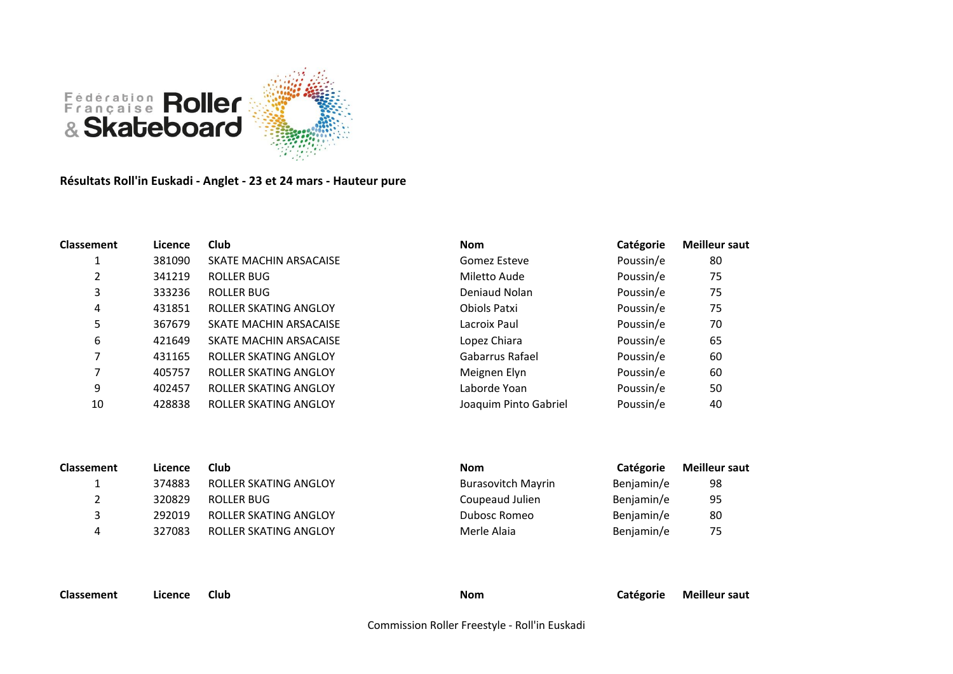

**Résultats Roll'in Euskadi - Anglet - 23 et 24 mars - Hauteur pure**

| Classement | Licence | <b>Club</b>                  | <b>Nom</b>            | Catégorie | <b>Meilleur saut</b> |
|------------|---------|------------------------------|-----------------------|-----------|----------------------|
|            | 381090  | SKATE MACHIN ARSACAISE       | Gomez Esteve          | Poussin/e | 80                   |
| 2          | 341219  | ROLLER BUG                   | Miletto Aude          | Poussin/e | 75                   |
| 3          | 333236  | ROLLER BUG                   | Deniaud Nolan         | Poussin/e | 75                   |
| 4          | 431851  | ROLLER SKATING ANGLOY        | Obiols Patxi          | Poussin/e | 75                   |
| 5          | 367679  | SKATE MACHIN ARSACAISE       | Lacroix Paul          | Poussin/e | 70                   |
| 6          | 421649  | SKATE MACHIN ARSACAISE       | Lopez Chiara          | Poussin/e | 65                   |
|            | 431165  | <b>ROLLER SKATING ANGLOY</b> | Gabarrus Rafael       | Poussin/e | 60                   |
|            | 405757  | <b>ROLLER SKATING ANGLOY</b> | Meignen Elyn          | Poussin/e | 60                   |
| 9          | 402457  | <b>ROLLER SKATING ANGLOY</b> | Laborde Yoan          | Poussin/e | 50                   |
| 10         | 428838  | <b>ROLLER SKATING ANGLOY</b> | Joaquim Pinto Gabriel | Poussin/e | 40                   |

| <b>Classement</b> | Licence | Club                  | <b>Nom</b>                | Catégorie  | <b>Meilleur saut</b> |
|-------------------|---------|-----------------------|---------------------------|------------|----------------------|
|                   | 374883  | ROLLER SKATING ANGLOY | <b>Burasovitch Mayrin</b> | Benjamin/e | 98                   |
|                   | 320829  | ROLLER BUG            | Coupeaud Julien           | Benjamin/e | 95                   |
|                   | 292019  | ROLLER SKATING ANGLOY | Dubosc Romeo              | Benjamin/e | 80                   |
| 4                 | 327083  | ROLLER SKATING ANGLOY | Merle Alaia               | Benjamin/e | 75                   |

**Classement Licence Club Nom Catégorie Meilleur saut**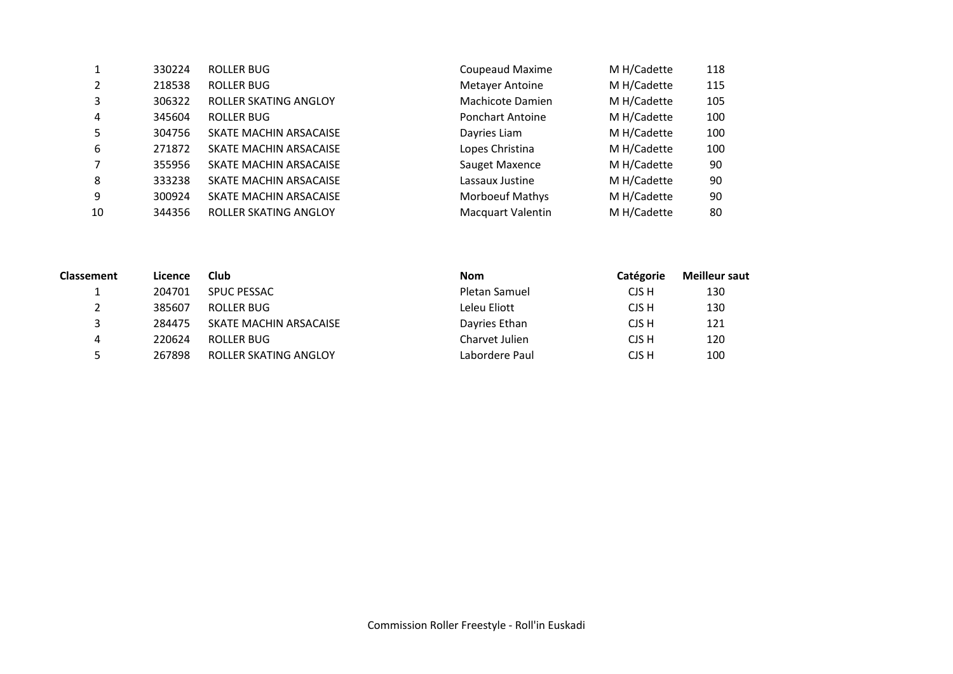|    | 330224 | ROLLER BUG             | <b>Coupeaud Maxime</b>   | M H/Cadette | 118 |
|----|--------|------------------------|--------------------------|-------------|-----|
| 2  | 218538 | ROLLER BUG             | <b>Metayer Antoine</b>   | M H/Cadette | 115 |
| 3  | 306322 | ROLLER SKATING ANGLOY  | Machicote Damien         | M H/Cadette | 105 |
| 4  | 345604 | ROLLER BUG             | <b>Ponchart Antoine</b>  | M H/Cadette | 100 |
| 5  | 304756 | SKATE MACHIN ARSACAISE | Dayries Liam             | M H/Cadette | 100 |
| 6  | 271872 | SKATE MACHIN ARSACAISE | Lopes Christina          | M H/Cadette | 100 |
|    | 355956 | SKATE MACHIN ARSACAISE | Sauget Maxence           | M H/Cadette | 90  |
| 8  | 333238 | SKATE MACHIN ARSACAISE | Lassaux Justine          | M H/Cadette | 90  |
| 9  | 300924 | SKATE MACHIN ARSACAISE | <b>Morboeuf Mathys</b>   | M H/Cadette | 90  |
| 10 | 344356 | ROLLER SKATING ANGLOY  | <b>Macquart Valentin</b> | M H/Cadette | 80  |

| <b>Classement</b> | Licence | <b>Club</b>                  | <b>Nom</b>     | Catégorie | <b>Meilleur saut</b> |
|-------------------|---------|------------------------------|----------------|-----------|----------------------|
| <b>.</b>          | 204701  | <b>SPUC PESSAC</b>           | Pletan Samuel  | CJS H     | 130                  |
| 2                 | 385607  | ROLLER BUG                   | Leleu Eliott   | CJS H     | 130                  |
| ર                 | 284475  | SKATE MACHIN ARSACAISE       | Dayries Ethan  | CJS H     | 121                  |
| 4                 | 220624  | ROLLER BUG                   | Charvet Julien | CJS H     | 120                  |
| 5                 | 267898  | <b>ROLLER SKATING ANGLOY</b> | Labordere Paul | CJS H     | 100                  |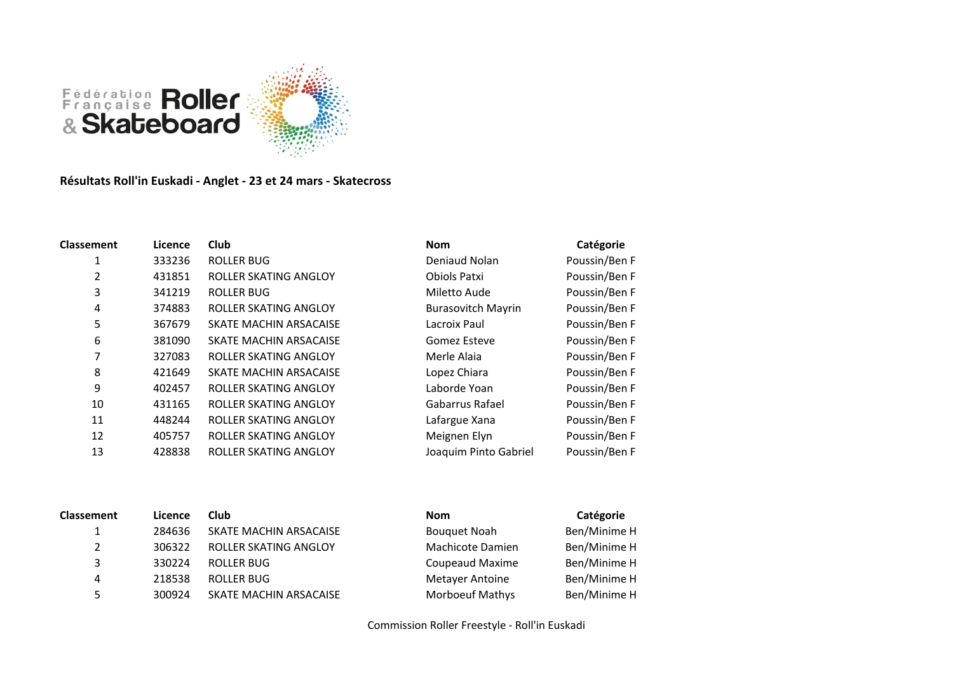

## **Résultats Roll'in Euskadi - Anglet - 23 et 24 mars - Skatecross**

| <b>Classement</b> | Licence | Club                   | <b>Nom</b>                | Catégorie     |
|-------------------|---------|------------------------|---------------------------|---------------|
| 1                 | 333236  | <b>ROLLER BUG</b>      | Deniaud Nolan             | Poussin/Ben F |
| 2                 | 431851  | ROLLER SKATING ANGLOY  | Obiols Patxi              | Poussin/Ben F |
| 3                 | 341219  | ROLLER BUG             | Miletto Aude              | Poussin/Ben F |
| 4                 | 374883  | ROLLER SKATING ANGLOY  | <b>Burasovitch Mayrin</b> | Poussin/Ben F |
| 5                 | 367679  | SKATE MACHIN ARSACAISE | Lacroix Paul              | Poussin/Ben F |
| 6                 | 381090  | SKATE MACHIN ARSACAISE | Gomez Esteve              | Poussin/Ben F |
| 7                 | 327083  | ROLLER SKATING ANGLOY  | Merle Alaia               | Poussin/Ben F |
| 8                 | 421649  | SKATE MACHIN ARSACAISE | Lopez Chiara              | Poussin/Ben F |
| 9                 | 402457  | ROLLER SKATING ANGLOY  | Laborde Yoan              | Poussin/Ben F |
| 10                | 431165  | ROLLER SKATING ANGLOY  | Gabarrus Rafael           | Poussin/Ben F |
| 11                | 448244  | ROLLER SKATING ANGLOY  | Lafargue Xana             | Poussin/Ben F |
| 12                | 405757  | ROLLER SKATING ANGLOY  | Meignen Elyn              | Poussin/Ben F |
| 13                | 428838  | ROLLER SKATING ANGLOY  | Joaquim Pinto Gabriel     | Poussin/Ben F |
|                   |         |                        |                           |               |

| <b>Nom</b>                | Catégorie     |
|---------------------------|---------------|
| Deniaud Nolan             | Poussin/Ben F |
| <b>Obiols Patxi</b>       | Poussin/Ben F |
| Miletto Aude              | Poussin/Ben F |
| <b>Burasovitch Mayrin</b> | Poussin/Ben F |
| Lacroix Paul              | Poussin/Ben F |
| <b>Gomez Esteve</b>       | Poussin/Ben F |
| Merle Alaia               | Poussin/Ben F |
| Lopez Chiara              | Poussin/Ben F |
| Laborde Yoan              | Poussin/Ben F |
| Gabarrus Rafael           | Poussin/Ben F |
| Lafargue Xana             | Poussin/Ben F |
| Meignen Elyn              | Poussin/Ben F |
| Joaquim Pinto Gabriel     | Poussin/Ben F |

| Licence | Club                   | <b>Nom</b>             | Catégorie    |
|---------|------------------------|------------------------|--------------|
| 284636  | SKATE MACHIN ARSACAISE | <b>Bouquet Noah</b>    | Ben/Minime H |
| 306322  | ROLLER SKATING ANGLOY  | Machicote Damien       | Ben/Minime H |
| 330224  | ROLLER BUG             | Coupeaud Maxime        | Ben/Minime H |
| 218538  | ROLLER BUG             | Metayer Antoine        | Ben/Minime H |
| 300924  | SKATE MACHIN ARSACAISE | <b>Morboeuf Mathys</b> | Ben/Minime H |
|         |                        |                        |              |

|              | <b>CALCEUTIC</b> |
|--------------|------------------|
| uet Noah     | Ben/Minime       |
| icote Damien | Ben/Minime       |
| eaud Maxime  | Ben/Minime       |
| yer Antoine  | Ben/Minime       |
| oeuf Mathys  | Ben/Minime       |